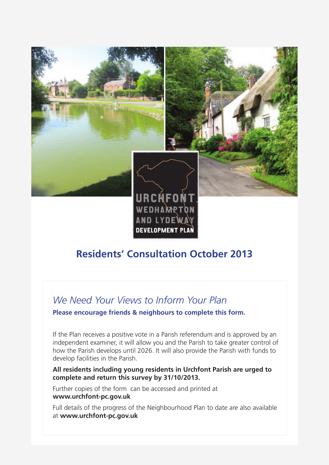

### **Residents' Consultation October 2013**

DEVELOPMENT PLAI

### *We Need Your Views to Inform Your Plan*

**Please encourage friends & neighbours to complete this form.** 

If the Plan receives a positive vote in a Parish referendum and is approved by an independent examiner, it will allow you and the Parish to take greater control of how the Parish develops until 2026. It will also provide the Parish with funds to develop facilities in the Parish.

#### **All residents including young residents in Urchfont Parish are urged to complete and return this survey by 31/10/2013.**

Further copies of the form can be accessed and printed at **www.urchfont-pc.gov.uk**

Full details of the progress of the Neighbourhood Plan to date are also available at **www.urchfont-pc.gov.uk**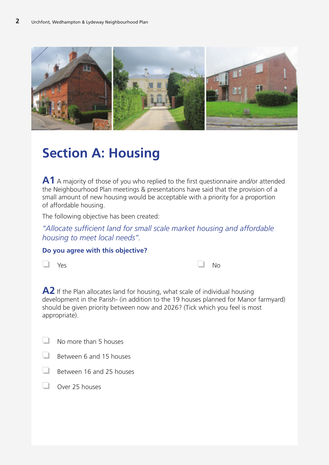

# **Section A: Housing**

**A1** A majority of those of you who replied to the first questionnaire and/or attended the Neighbourhood Plan meetings & presentations have said that the provision of a small amount of new housing would be acceptable with a priority for a proportion of affordable housing.

The following objective has been created:

*"Allocate sufficient land for small scale market housing and affordable housing to meet local needs".*

#### **Do you agree with this objective?**

| $\Box$ Yes | $\Box$ No |  |
|------------|-----------|--|
|------------|-----------|--|

**A2** If the Plan allocates land for housing, what scale of individual housing development in the Parish- (in addition to the 19 houses planned for Manor farmyard) should be given priority between now and 2026? (Tick which you feel is most appropriate).

| No more than 5 houses |
|-----------------------|
|                       |



- ❏ Between 16 and 25 houses
- ❏ Over 25 houses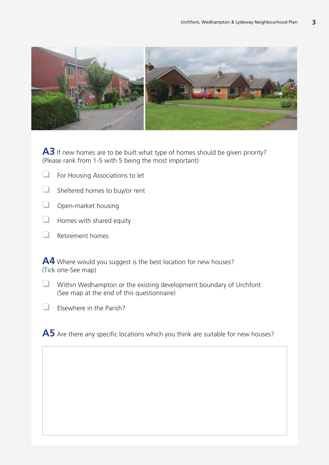

A3 If new homes are to be built what type of homes should be given priority? (Please rank from 1-5 with 5 being the most important)

- ❏ For Housing Associations to let
- ❏ Sheltered homes to buy/or rent
- ❏ Open-market housing
- ❏ Homes with shared equity
- ❏ Retirement homes

A4 Where would you suggest is the best location for new houses? (Tick one-See map)

- ❏ Within Wedhampton or the existing development boundary of Urchfont (See map at the end of this questionnaire)
- ❏ Elsewhere in the Parish?

A5 Are there any specific locations which you think are suitable for new houses?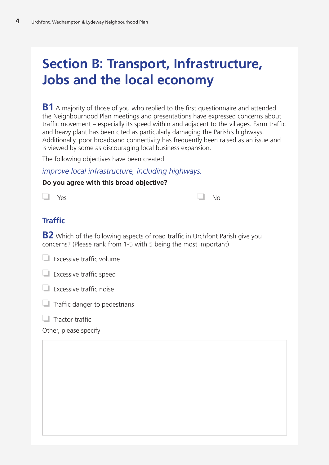# **Section B: Transport, Infrastructure, Jobs and the local economy**

**B1** A majority of those of you who replied to the first questionnaire and attended the Neighbourhood Plan meetings and presentations have expressed concerns about traffic movement – especially its speed within and adjacent to the villages. Farm traffic and heavy plant has been cited as particularly damaging the Parish's highways. Additionally, poor broadband connectivity has frequently been raised as an issue and is viewed by some as discouraging local business expansion.

The following objectives have been created:

*improve local infrastructure, including highways.*

#### **Do you agree with this broad objective?**

| $\Box$ Yes |  |  | $\Box$ No |  |
|------------|--|--|-----------|--|
|            |  |  |           |  |

### **Traffic**

**B2** Which of the following aspects of road traffic in Urchfont Parish give you concerns? (Please rank from 1-5 with 5 being the most important)

| Excessive traffic volume |  |
|--------------------------|--|
|                          |  |

❏ Excessive traffic speed

❏ Excessive traffic noise

 $\Box$  Traffic danger to pedestrians

❏ Tractor traffic

Other, please specify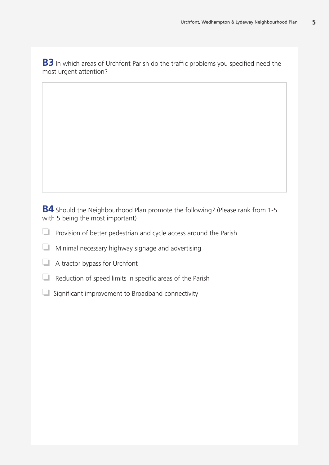**B3** In which areas of Urchfont Parish do the traffic problems you specified need the most urgent attention?

**B4** Should the Neighbourhood Plan promote the following? (Please rank from 1-5 with 5 being the most important)

- ❏ Provision of better pedestrian and cycle access around the Parish.
- ❏ Minimal necessary highway signage and advertising
- ❏ A tractor bypass for Urchfont
- ❏ Reduction of speed limits in specific areas of the Parish
- $\Box$  Significant improvement to Broadband connectivity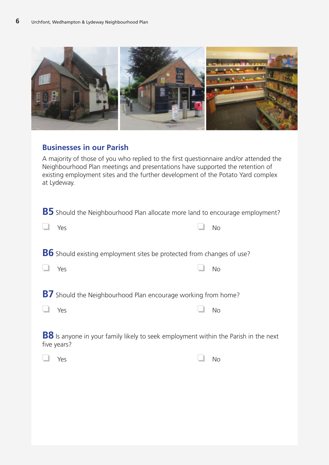

### **Businesses in our Parish**

A majority of those of you who replied to the first questionnaire and/or attended the Neighbourhood Plan meetings and presentations have supported the retention of existing employment sites and the further development of the Potato Yard complex at Lydeway.

| <b>B5</b> Should the Neighbourhood Plan allocate more land to encourage employment?                       |           |
|-----------------------------------------------------------------------------------------------------------|-----------|
| Yes                                                                                                       | <b>No</b> |
| <b>B6</b> Should existing employment sites be protected from changes of use?                              |           |
| Yes                                                                                                       | <b>No</b> |
| <b>B7</b> Should the Neighbourhood Plan encourage working from home?                                      |           |
| Yes                                                                                                       | <b>No</b> |
| <b>B8</b> Is anyone in your family likely to seek employment within the Parish in the next<br>five years? |           |
| Yes                                                                                                       | No        |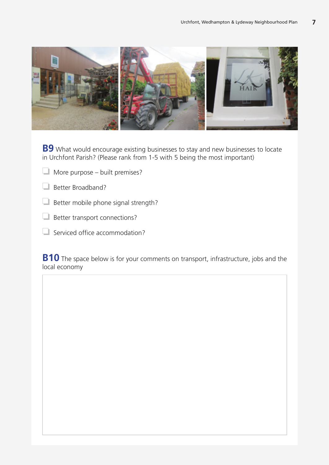

**B9** What would encourage existing businesses to stay and new businesses to locate in Urchfont Parish? (Please rank from 1-5 with 5 being the most important)

❏ More purpose – built premises?

❏ Better Broadband?

❏ Better mobile phone signal strength?

❏ Better transport connections?

❏ Serviced office accommodation?

**B10** The space below is for your comments on transport, infrastructure, jobs and the local economy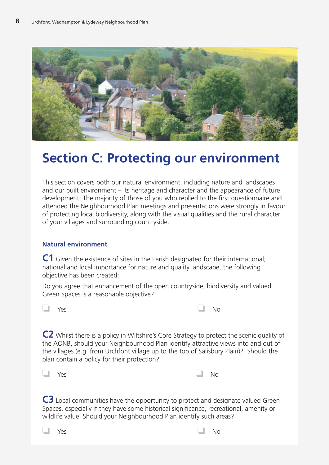

## **Section C: Protecting our environment**

This section covers both our natural environment, including nature and landscapes and our built environment – its heritage and character and the appearance of future development. The majority of those of you who replied to the first questionnaire and attended the Neighbourhood Plan meetings and presentations were strongly in favour of protecting local biodiversity, along with the visual qualities and the rural character of your villages and surrounding countryside.

#### **Natural environment**

**C1** Given the existence of sites in the Parish designated for their international, national and local importance for nature and quality landscape, the following objective has been created:

Do you agree that enhancement of the open countryside, biodiversity and valued Green Spaces is a reasonable objective?



**C2** Whilst there is a policy in Wiltshire's Core Strategy to protect the scenic quality of the AONB, should your Neighbourhood Plan identify attractive views into and out of the villages (e.g. from Urchfont village up to the top of Salisbury Plain)? Should the plan contain a policy for their protection?

| $\Box$ Yes |  | $\Box$ No |  |
|------------|--|-----------|--|
|            |  |           |  |

**C3** Local communities have the opportunity to protect and designate valued Green Spaces, especially if they have some historical significance, recreational, amenity or wildlife value. Should your Neighbourhood Plan identify such areas?

❏ Yes ❏ No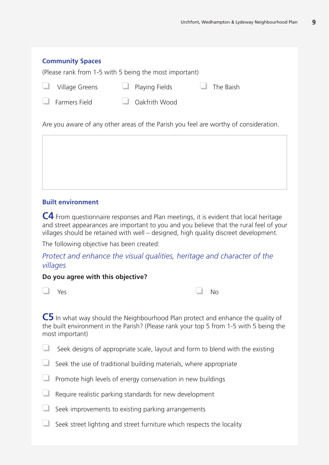#### **Community Spaces**

(Please rank from 1-5 with 5 being the most important)

| $\Box$ Village Greens | $\Box$ Playing Fields | $\Box$ The Baish |
|-----------------------|-----------------------|------------------|
| $\Box$ Farmers Field  | $\Box$ Oakfrith Wood  |                  |

Are you aware of any other areas of the Parish you feel are worthy of consideration.

#### **Built environment**

**C4** From questionnaire responses and Plan meetings, it is evident that local heritage and street appearances are important to you and you believe that the rural feel of your villages should be retained with well – designed, high quality discreet development.

The following objective has been created:

*Protect and enhance the visual qualities, heritage and character of the villages*

#### **Do you agree with this objective?**

| $\Box$ Yes |  |  | $\Box$ No |  |
|------------|--|--|-----------|--|
|            |  |  |           |  |

**C5** In what way should the Neighbourhood Plan protect and enhance the quality of the built environment in the Parish? (Please rank your top 5 from 1-5 with 5 being the most important)

- Seek designs of appropriate scale, layout and form to blend with the existing
- ❏ Seek the use of traditional building materials, where appropriate
- ❏ Promote high levels of energy conservation in new buildings
- ❏ Require realistic parking standards for new development
- ❏ Seek improvements to existing parking arrangements
- ❏ Seek street lighting and street furniture which respects the locality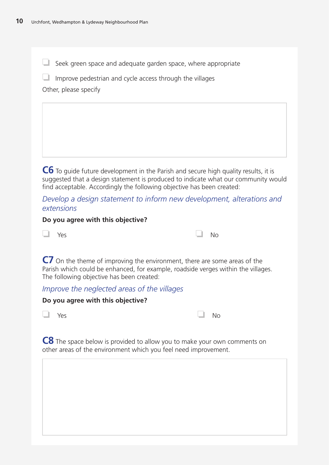❏ Seek green space and adequate garden space, where appropriate

 $\Box$  Improve pedestrian and cycle access through the villages

Other, please specify

**C6** To guide future development in the Parish and secure high quality results, it is suggested that a design statement is produced to indicate what our community would find acceptable. Accordingly the following objective has been created:

*Develop a design statement to inform new development, alterations and extensions*

#### **Do you agree with this objective?**

| $\Box$ Yes | $\Box$ No |  |
|------------|-----------|--|
|------------|-----------|--|

**C7** On the theme of improving the environment, there are some areas of the Parish which could be enhanced, for example, roadside verges within the villages. The following objective has been created:

### *Improve the neglected areas of the villages*

#### **Do you agree with this objective?**

| $\Box$ Yes |  |  | $\Box$ No |  |
|------------|--|--|-----------|--|
|            |  |  |           |  |

|--|

**C8** The space below is provided to allow you to make your own comments on other areas of the environment which you feel need improvement.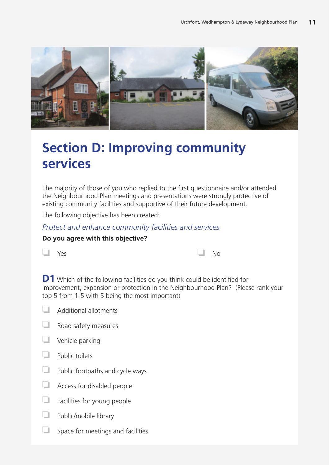

# **Section D: Improving community services**

The majority of those of you who replied to the first questionnaire and/or attended the Neighbourhood Plan meetings and presentations were strongly protective of existing community facilities and supportive of their future development.

The following objective has been created:

### *Protect and enhance community facilities and services*

#### **Do you agree with this objective?**

| $\Box$ Yes |  |  | $\Box$ No |  |
|------------|--|--|-----------|--|
|            |  |  |           |  |

**D1** Which of the following facilities do you think could be identified for improvement, expansion or protection in the Neighbourhood Plan? (Please rank your top 5 from 1-5 with 5 being the most important)

- ❏ Additional allotments
- ❏ Road safety measures
- ❏ Vehicle parking
- ❏ Public toilets
- ❏ Public footpaths and cycle ways
- ❏ Access for disabled people
- ❏ Facilities for young people
- ❏ Public/mobile library
- $\Box$  Space for meetings and facilities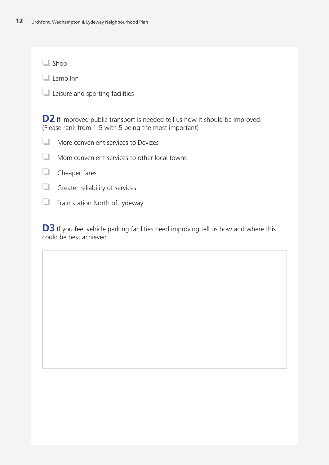❏ Shop

❏ Lamb Inn

❏ Leisure and sporting facilities

**D2** If improved public transport is needed tell us how it should be improved. (Please rank from 1-5 with 5 being the most important)

|  | More convenient services to Devizes |  |
|--|-------------------------------------|--|
|--|-------------------------------------|--|

- ❏ More convenient services to other local towns
- ❏ Cheaper fares
- ❏ Greater reliability of services
- ❏ Train station North of Lydeway

**D3** If you feel vehicle parking facilities need improving tell us how and where this could be best achieved.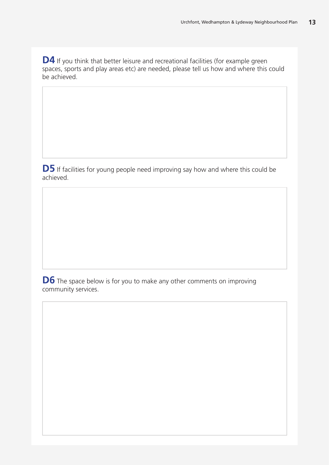**D4** If you think that better leisure and recreational facilities (for example green spaces, sports and play areas etc) are needed, please tell us how and where this could be achieved.

**D5** If facilities for young people need improving say how and where this could be achieved.

**D6** The space below is for you to make any other comments on improving community services.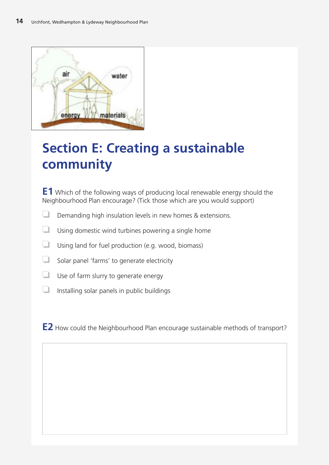

# **Section E: Creating a sustainable community**

**E1** Which of the following ways of producing local renewable energy should the Neighbourhood Plan encourage? (Tick those which are you would support)

- ❏ Demanding high insulation levels in new homes & extensions.
- ❏ Using domestic wind turbines powering a single home
- ❏ Using land for fuel production (e.g. wood, biomass)
- ❏ Solar panel 'farms' to generate electricity
- ❏ Use of farm slurry to generate energy
- $\Box$  Installing solar panels in public buildings

**E2** How could the Neighbourhood Plan encourage sustainable methods of transport?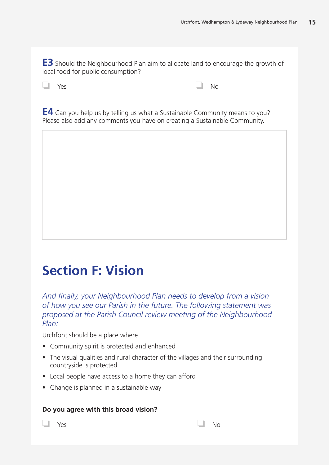**E3** Should the Neighbourhood Plan aim to allocate land to encourage the growth of local food for public consumption?

| $\Box$ Yes |  |  | $\Box$ No |  |
|------------|--|--|-----------|--|
|            |  |  |           |  |

**E4** Can you help us by telling us what a Sustainable Community means to you? Please also add any comments you have on creating a Sustainable Community.

# **Section F: Vision**

*And finally, your Neighbourhood Plan needs to develop from a vision of how you see our Parish in the future. The following statement was proposed at the Parish Council review meeting of the Neighbourhood Plan:*

Urchfont should be a place where.......

- Community spirit is protected and enhanced
- The visual qualities and rural character of the villages and their surrounding countryside is protected
- Local people have access to a home they can afford
- Change is planned in a sustainable way

#### **Do you agree with this broad vision?**

❏ Yes ❏ No